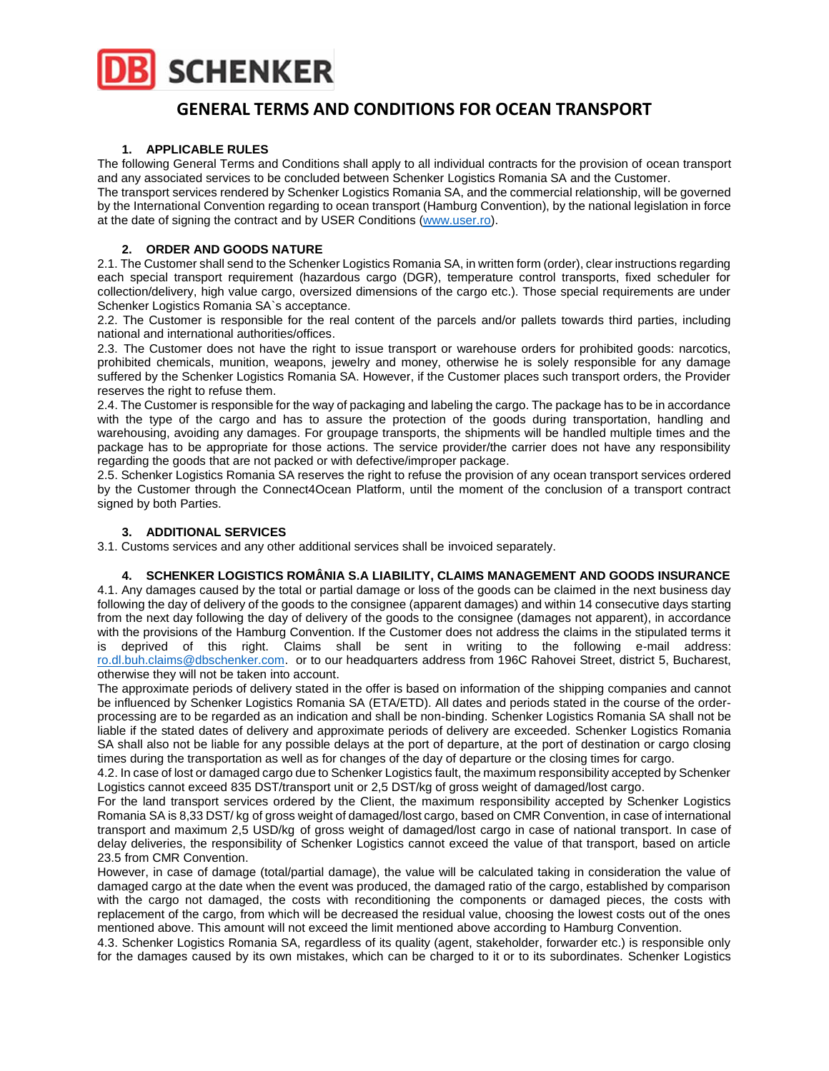

# **GENERAL TERMS AND CONDITIONS FOR OCEAN TRANSPORT**

### **1. APPLICABLE RULES**

The following General Terms and Conditions shall apply to all individual contracts for the provision of ocean transport and any associated services to be concluded between Schenker Logistics Romania SA and the Customer.

The transport services rendered by Schenker Logistics Romania SA, and the commercial relationship, will be governed by the International Convention regarding to ocean transport (Hamburg Convention), by the national legislation in force at the date of signing the contract and by USER Conditions [\(www.user.ro\)](http://www.user.ro/).

## **2. ORDER AND GOODS NATURE**

2.1. The Customer shall send to the Schenker Logistics Romania SA, in written form (order), clear instructions regarding each special transport requirement (hazardous cargo (DGR), temperature control transports, fixed scheduler for collection/delivery, high value cargo, oversized dimensions of the cargo etc.). Those special requirements are under Schenker Logistics Romania SA`s acceptance.

2.2. The Customer is responsible for the real content of the parcels and/or pallets towards third parties, including national and international authorities/offices.

2.3. The Customer does not have the right to issue transport or warehouse orders for prohibited goods: narcotics, prohibited chemicals, munition, weapons, jewelry and money, otherwise he is solely responsible for any damage suffered by the Schenker Logistics Romania SA. However, if the Customer places such transport orders, the Provider reserves the right to refuse them.

2.4. The Customer is responsible for the way of packaging and labeling the cargo. The package has to be in accordance with the type of the cargo and has to assure the protection of the goods during transportation, handling and warehousing, avoiding any damages. For groupage transports, the shipments will be handled multiple times and the package has to be appropriate for those actions. The service provider/the carrier does not have any responsibility regarding the goods that are not packed or with defective/improper package.

2.5. Schenker Logistics Romania SA reserves the right to refuse the provision of any ocean transport services ordered by the Customer through the Connect4Ocean Platform, until the moment of the conclusion of a transport contract signed by both Parties.

### **3. ADDITIONAL SERVICES**

3.1. Customs services and any other additional services shall be invoiced separately.

#### **4. SCHENKER LOGISTICS ROMÂNIA S.A LIABILITY, CLAIMS MANAGEMENT AND GOODS INSURANCE**

4.1. Any damages caused by the total or partial damage or loss of the goods can be claimed in the next business day following the day of delivery of the goods to the consignee (apparent damages) and within 14 consecutive days starting from the next day following the day of delivery of the goods to the consignee (damages not apparent), in accordance with the provisions of the Hamburg Convention. If the Customer does not address the claims in the stipulated terms it is deprived of this right. Claims shall be sent in writing to the following e-mail address: [ro.dl.buh.claims@dbschenker.com.](mailto:ro.dl.buh.claims@dbschenker.com) or to our headquarters address from 196C Rahovei Street, district 5, Bucharest, otherwise they will not be taken into account.

The approximate periods of delivery stated in the offer is based on information of the shipping companies and cannot be influenced by Schenker Logistics Romania SA (ETA/ETD). All dates and periods stated in the course of the orderprocessing are to be regarded as an indication and shall be non-binding. Schenker Logistics Romania SA shall not be liable if the stated dates of delivery and approximate periods of delivery are exceeded. Schenker Logistics Romania SA shall also not be liable for any possible delays at the port of departure, at the port of destination or cargo closing times during the transportation as well as for changes of the day of departure or the closing times for cargo.

4.2. In case of lost or damaged cargo due to Schenker Logistics fault, the maximum responsibility accepted by Schenker Logistics cannot exceed 835 DST/transport unit or 2,5 DST/kg of gross weight of damaged/lost cargo.

For the land transport services ordered by the Client, the maximum responsibility accepted by Schenker Logistics Romania SA is 8,33 DST/ kg of gross weight of damaged/lost cargo, based on CMR Convention, in case of international transport and maximum 2,5 USD/kg of gross weight of damaged/lost cargo in case of national transport. In case of delay deliveries, the responsibility of Schenker Logistics cannot exceed the value of that transport, based on article 23.5 from CMR Convention.

However, in case of damage (total/partial damage), the value will be calculated taking in consideration the value of damaged cargo at the date when the event was produced, the damaged ratio of the cargo, established by comparison with the cargo not damaged, the costs with reconditioning the components or damaged pieces, the costs with replacement of the cargo, from which will be decreased the residual value, choosing the lowest costs out of the ones mentioned above. This amount will not exceed the limit mentioned above according to Hamburg Convention.

4.3. Schenker Logistics Romania SA, regardless of its quality (agent, stakeholder, forwarder etc.) is responsible only for the damages caused by its own mistakes, which can be charged to it or to its subordinates. Schenker Logistics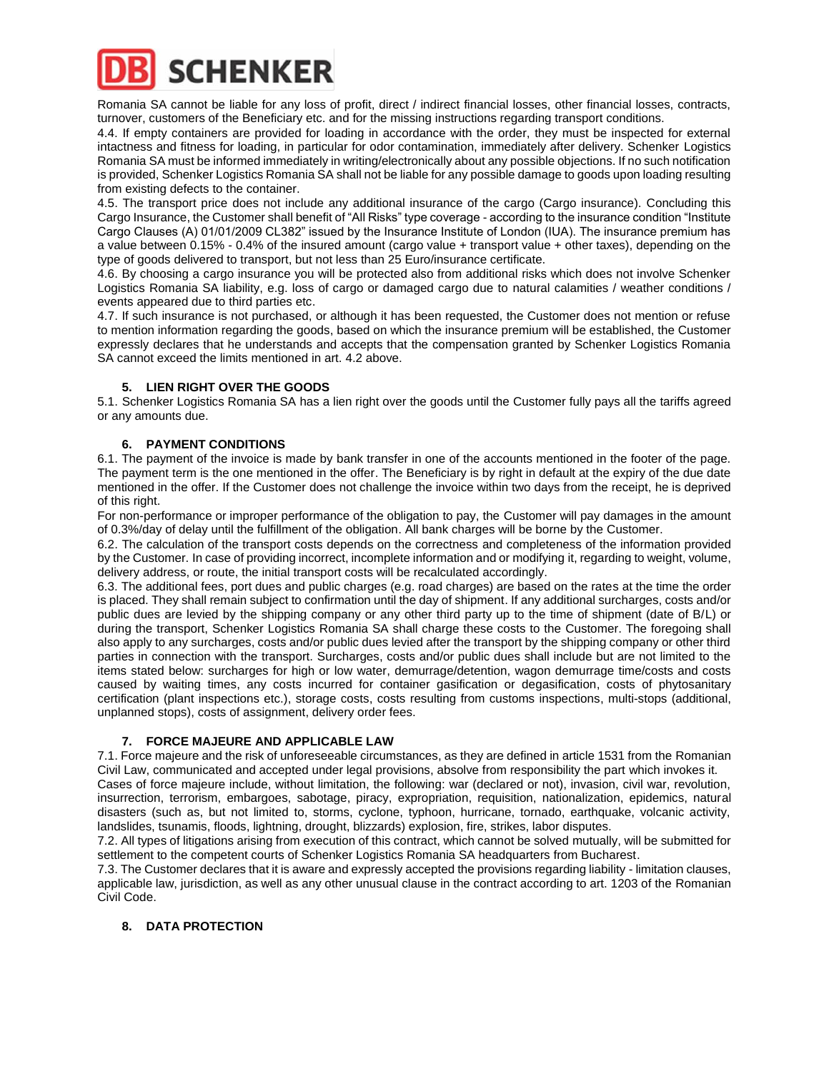

Romania SA cannot be liable for any loss of profit, direct / indirect financial losses, other financial losses, contracts, turnover, customers of the Beneficiary etc. and for the missing instructions regarding transport conditions.

4.4. If empty containers are provided for loading in accordance with the order, they must be inspected for external intactness and fitness for loading, in particular for odor contamination, immediately after delivery. Schenker Logistics Romania SA must be informed immediately in writing/electronically about any possible objections. If no such notification is provided, Schenker Logistics Romania SA shall not be liable for any possible damage to goods upon loading resulting from existing defects to the container.

4.5. The transport price does not include any additional insurance of the cargo (Cargo insurance). Concluding this Cargo Insurance, the Customer shall benefit of "All Risks" type coverage - according to the insurance condition "Institute Cargo Clauses (A) 01/01/2009 CL382" issued by the Insurance Institute of London (IUA). The insurance premium has a value between 0.15% - 0.4% of the insured amount (cargo value + transport value + other taxes), depending on the type of goods delivered to transport, but not less than 25 Euro/insurance certificate.

4.6. By choosing a cargo insurance you will be protected also from additional risks which does not involve Schenker Logistics Romania SA liability, e.g. loss of cargo or damaged cargo due to natural calamities / weather conditions / events appeared due to third parties etc.

4.7. If such insurance is not purchased, or although it has been requested, the Customer does not mention or refuse to mention information regarding the goods, based on which the insurance premium will be established, the Customer expressly declares that he understands and accepts that the compensation granted by Schenker Logistics Romania SA cannot exceed the limits mentioned in art. 4.2 above.

# **5. LIEN RIGHT OVER THE GOODS**

5.1. Schenker Logistics Romania SA has a lien right over the goods until the Customer fully pays all the tariffs agreed or any amounts due.

## **6. PAYMENT CONDITIONS**

6.1. The payment of the invoice is made by bank transfer in one of the accounts mentioned in the footer of the page. The payment term is the one mentioned in the offer. The Beneficiary is by right in default at the expiry of the due date mentioned in the offer. If the Customer does not challenge the invoice within two days from the receipt, he is deprived of this right.

For non-performance or improper performance of the obligation to pay, the Customer will pay damages in the amount of 0.3%/day of delay until the fulfillment of the obligation. All bank charges will be borne by the Customer.

6.2. The calculation of the transport costs depends on the correctness and completeness of the information provided by the Customer. In case of providing incorrect, incomplete information and or modifying it, regarding to weight, volume, delivery address, or route, the initial transport costs will be recalculated accordingly.

6.3. The additional fees, port dues and public charges (e.g. road charges) are based on the rates at the time the order is placed. They shall remain subject to confirmation until the day of shipment. If any additional surcharges, costs and/or public dues are levied by the shipping company or any other third party up to the time of shipment (date of B/L) or during the transport, Schenker Logistics Romania SA shall charge these costs to the Customer. The foregoing shall also apply to any surcharges, costs and/or public dues levied after the transport by the shipping company or other third parties in connection with the transport. Surcharges, costs and/or public dues shall include but are not limited to the items stated below: surcharges for high or low water, demurrage/detention, wagon demurrage time/costs and costs caused by waiting times, any costs incurred for container gasification or degasification, costs of phytosanitary certification (plant inspections etc.), storage costs, costs resulting from customs inspections, multi-stops (additional, unplanned stops), costs of assignment, delivery order fees.

#### **7. FORCE MAJEURE AND APPLICABLE LAW**

7.1. Force majeure and the risk of unforeseeable circumstances, as they are defined in article 1531 from the Romanian Civil Law, communicated and accepted under legal provisions, absolve from responsibility the part which invokes it.

Cases of force majeure include, without limitation, the following: war (declared or not), invasion, civil war, revolution, insurrection, terrorism, embargoes, sabotage, piracy, expropriation, requisition, nationalization, epidemics, natural disasters (such as, but not limited to, storms, cyclone, typhoon, hurricane, tornado, earthquake, volcanic activity, landslides, tsunamis, floods, lightning, drought, blizzards) explosion, fire, strikes, labor disputes.

7.2. All types of litigations arising from execution of this contract, which cannot be solved mutually, will be submitted for settlement to the competent courts of Schenker Logistics Romania SA headquarters from Bucharest.

7.3. The Customer declares that it is aware and expressly accepted the provisions regarding liability - limitation clauses, applicable law, jurisdiction, as well as any other unusual clause in the contract according to art. 1203 of the Romanian Civil Code.

# **8. DATA PROTECTION**